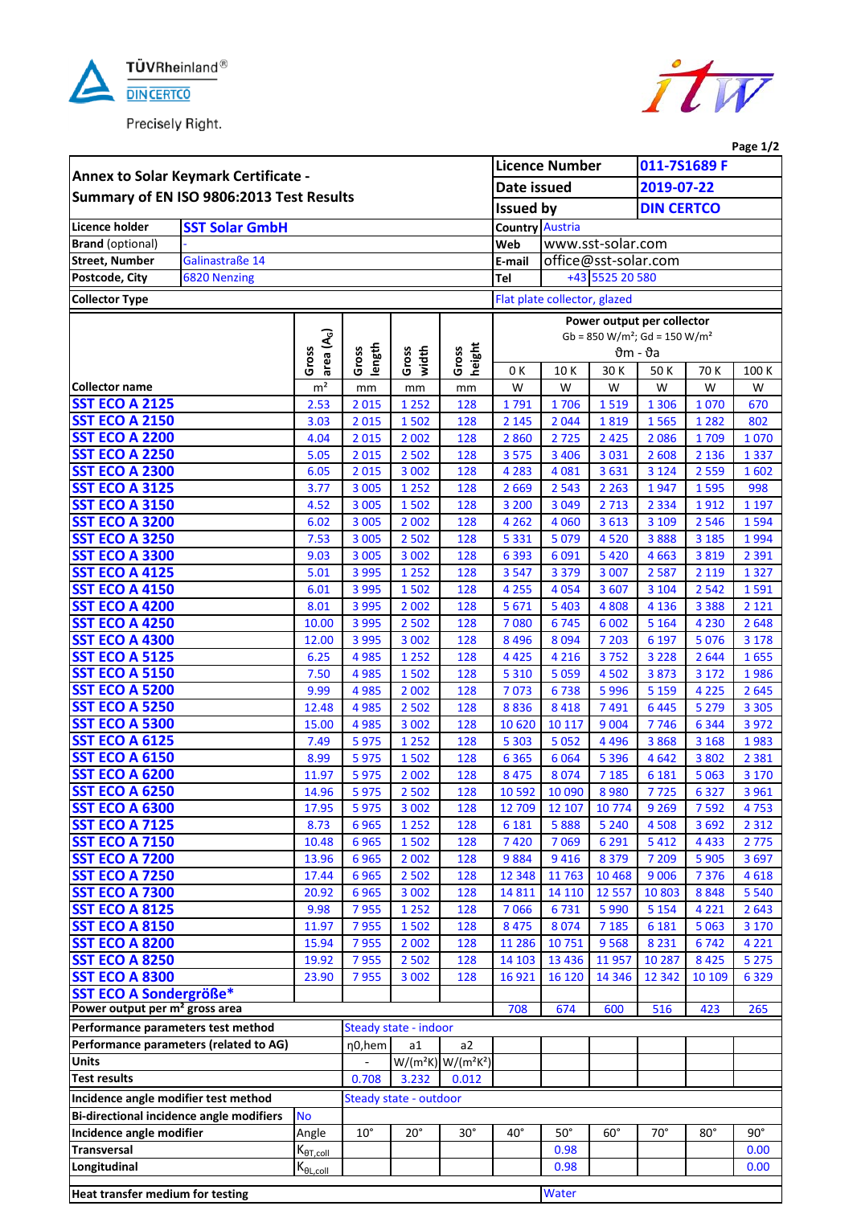

Precisely Right.



|                                                |                                        |                                  |                    |                        |                         |                               |                                     |                    |                            |              | Page $1/2$      |
|------------------------------------------------|----------------------------------------|----------------------------------|--------------------|------------------------|-------------------------|-------------------------------|-------------------------------------|--------------------|----------------------------|--------------|-----------------|
| Annex to Solar Keymark Certificate -           |                                        |                                  |                    | <b>Licence Number</b>  |                         |                               | 011-7S1689 F                        |                    |                            |              |                 |
|                                                |                                        |                                  |                    | Date issued            |                         |                               | 2019-07-22                          |                    |                            |              |                 |
| Summary of EN ISO 9806:2013 Test Results       |                                        |                                  |                    |                        |                         | <b>Issued by</b>              |                                     |                    | <b>DIN CERTCO</b>          |              |                 |
| <b>Licence holder</b>                          | <b>SST Solar GmbH</b>                  |                                  |                    |                        |                         |                               |                                     |                    |                            |              |                 |
| <b>Brand</b> (optional)                        |                                        |                                  |                    |                        |                         | <b>Country Austria</b><br>Web |                                     | www.sst-solar.com  |                            |              |                 |
| <b>Street, Number</b>                          | Galinastraße 14                        |                                  |                    |                        |                         | E-mail                        | office@sst-solar.com                |                    |                            |              |                 |
| Postcode, City                                 | 6820 Nenzing                           |                                  |                    |                        |                         | Tel                           |                                     |                    |                            |              |                 |
|                                                |                                        |                                  |                    |                        |                         | +43 5525 20 580               |                                     |                    |                            |              |                 |
| <b>Collector Type</b>                          |                                        |                                  |                    |                        |                         | Flat plate collector, glazed  |                                     |                    |                            |              |                 |
|                                                |                                        |                                  |                    |                        |                         |                               |                                     |                    | Power output per collector |              |                 |
|                                                |                                        |                                  |                    |                        |                         |                               | $Gb = 850 W/m^2$ ; $Gd = 150 W/m^2$ |                    |                            |              |                 |
|                                                |                                        | area (A <sub>G</sub> )<br>Gross  | length<br>Gross    | width<br>Gross         | height<br>Gross         | $\theta$ m - $\vartheta$ a    |                                     |                    |                            |              |                 |
|                                                |                                        |                                  |                    |                        |                         | 0 K                           | 10 K                                | 30K                | 50 K                       | 70 K         | 100 K           |
| <b>Collector name</b>                          |                                        | m <sup>2</sup>                   | mm                 | mm                     | mm                      | W                             | W                                   | W                  | W                          | W            | W               |
| <b>SST ECO A 2125</b>                          |                                        | 2.53                             | 2015               | 1 2 5 2                | 128                     | 1791                          | 1706                                | 1519               | 1 3 0 6                    | 1070         | 670             |
| <b>SST ECO A 2150</b>                          |                                        | 3.03                             | 2015               | 1502                   | 128                     | 2 1 4 5                       | 2044                                | 1819               | 1565                       | 1 2 8 2      | 802             |
| <b>SST ECO A 2200</b>                          |                                        | 4.04                             | 2015               | 2 0 0 2                | 128                     | 2860                          | 2725                                | 2 4 2 5            | 2086                       | 1709         | 1070            |
| <b>SST ECO A 2250</b>                          |                                        | 5.05                             | 2015               | 2 5 0 2                | 128                     | 3 5 7 5                       | 3 4 0 6                             | 3 0 3 1            | 2 6 0 8                    | 2 1 3 6      | 1337            |
| <b>SST ECO A 2300</b><br><b>SST ECO A 3125</b> |                                        | 6.05                             | 2015               | 3 0 0 2                | 128                     | 4 2 8 3                       | 4081                                | 3631               | 3 1 2 4                    | 2 5 5 9      | 1602            |
| <b>SST ECO A 3150</b>                          |                                        | 3.77<br>4.52                     | 3 0 0 5<br>3 0 0 5 | 1 2 5 2                | 128                     | 2669                          | 2543                                | 2 2 6 3<br>2713    | 1947                       | 1595<br>1912 | 998<br>1 1 9 7  |
| <b>SST ECO A 3200</b>                          |                                        | 6.02                             | 3 0 0 5            | 1502<br>2 0 0 2        | 128<br>128              | 3 2 0 0<br>4 2 6 2            | 3049<br>4 0 6 0                     | 3613               | 2 3 3 4<br>3 1 0 9         | 2 5 4 6      | 1594            |
| <b>SST ECO A 3250</b>                          |                                        | 7.53                             | 3 0 0 5            | 2 5 0 2                | 128                     | 5 3 3 1                       | 5079                                | 4520               | 3888                       | 3 1 8 5      | 1994            |
| <b>SST ECO A 3300</b>                          |                                        | 9.03                             | 3 0 0 5            | 3 0 0 2                | 128                     | 6393                          | 6091                                | 5420               | 4663                       | 3819         | 2 3 9 1         |
| <b>SST ECO A 4125</b>                          |                                        | 5.01                             | 3 9 9 5            | 1 2 5 2                | 128                     | 3547                          | 3 3 7 9                             | 3 0 0 7            | 2587                       | 2 1 1 9      | 1327            |
| <b>SST ECO A 4150</b>                          |                                        | 6.01                             | 3 9 9 5            | 1502                   | 128                     | 4 2 5 5                       | 4054                                | 3 6 0 7            | 3 1 0 4                    | 2542         | 1591            |
| <b>SST ECO A 4200</b>                          |                                        | 8.01                             | 3 9 9 5            | 2 0 0 2                | 128                     | 5671                          | 5 4 0 3                             | 4808               | 4 1 3 6                    | 3 3 8 8      | 2 1 2 1         |
| <b>SST ECO A 4250</b>                          |                                        | 10.00                            | 3 9 9 5            | 2 5 0 2                | 128                     | 7080                          | 6745                                | 6 0 0 2            | 5 1 6 4                    | 4 2 3 0      | 2648            |
| <b>SST ECO A 4300</b>                          |                                        | 12.00                            | 3 9 9 5            | 3 0 0 2                | 128                     | 8 4 9 6                       | 8 0 9 4                             | 7 2 0 3            | 6 1 9 7                    | 5076         | 3 1 7 8         |
| <b>SST ECO A 5125</b>                          |                                        | 6.25                             | 4 9 8 5            | 1 2 5 2                | 128                     | 4 4 2 5                       | 4 2 1 6                             | 3752               | 3 2 2 8                    | 2644         | 1655            |
| <b>SST ECO A 5150</b>                          |                                        | 7.50                             | 4 9 8 5            | 1502                   | 128                     | 5 3 1 0                       | 5059                                | 4 5 0 2            | 3873                       | 3 1 7 2      | 1986            |
| <b>SST ECO A 5200</b>                          |                                        | 9.99                             | 4985               | 2 0 0 2                | 128                     | 7073                          | 6738                                | 5996               | 5 1 5 9                    | 4 2 2 5      | 2645            |
| <b>SST ECO A 5250</b>                          |                                        | 12.48                            | 4985               | 2 5 0 2                | 128                     | 8836                          | 8 4 1 8                             | 7491               | 6445                       | 5 2 7 9      | 3 3 0 5         |
| <b>SST ECO A 5300</b>                          |                                        | 15.00                            | 4985               | 3 0 0 2                | 128                     | 10 6 20                       | 10 117                              | 9 0 0 4            | 7746                       | 6 3 4 4      | 3 9 7 2         |
| <b>SST ECO A 6125</b>                          |                                        | 7.49                             | 5975               | 1 2 5 2                | 128                     | 5 3 0 3                       | 5052                                | 4 4 9 6            | 3868                       | 3 1 6 8      | 1983            |
| <b>SST ECO A 6150</b>                          |                                        | 8.99                             | 5975               | 1502                   | 128                     | 6 3 6 5                       | 6064                                | 5 3 9 6            | 4642                       | 3802         | 2 3 8 1         |
| <b>SST ECO A 6200</b>                          |                                        | 11.97                            | 5975               | 2 0 0 2                | 128                     | 8 4 7 5                       | 8 0 7 4                             | 7 1 8 5            | 6 1 8 1                    | 5 0 63       | 3 1 7 0         |
| <b>SST ECO A 6250</b>                          |                                        | 14.96                            | 5975               | 2 5 0 2                | 128                     | 10 5 92                       | 10 090                              | 8980               | 7725                       | 6327         | 3961            |
| <b>SST ECO A 6300</b>                          |                                        | 17.95                            | 5975               | 3 0 0 2                | 128                     | 12 709                        | 12 107                              | 10774              | 9 2 6 9                    | 7592         | 4753            |
| <b>SST ECO A 7125</b>                          |                                        | 8.73                             | 6965               | 1 2 5 2                | 128                     | 6 1 8 1                       | 5888                                | 5 2 4 0            | 4508                       | 3692         | 2 3 1 2         |
| <b>SST ECO A 7150</b>                          |                                        | 10.48                            | 6965               | 1502                   | 128                     | 7420                          | 7069                                | 6 2 9 1            | 5412                       | 4433         | 2775            |
| <b>SST ECO A 7200</b>                          |                                        | 13.96                            | 6965               | 2 0 0 2                | 128                     | 9884<br>12 3 48               | 9416                                | 8 3 7 9            | 7 2 0 9                    | 5 9 0 5      | 3697            |
| <b>SST ECO A 7250</b><br><b>SST ECO A 7300</b> |                                        | 17.44<br>20.92                   | 6965<br>6965       | 2 5 0 2<br>3 0 0 2     | 128<br>128              | 14 8 11                       | 11763<br>14 110                     | 10 4 68<br>12 5 57 | 9006<br>10803              | 7376<br>8848 | 4618<br>5 5 4 0 |
| <b>SST ECO A 8125</b>                          |                                        | 9.98                             | 7955               | 1 2 5 2                | 128                     | 7066                          | 6731                                | 5990               | 5 1 5 4                    | 4 2 2 1      | 2643            |
| <b>SST ECO A 8150</b>                          |                                        | 11.97                            | 7955               | 1502                   | 128                     | 8 4 7 5                       | 8 0 7 4                             | 7 1 8 5            | 6 1 8 1                    | 5063         | 3 1 7 0         |
| <b>SST ECO A 8200</b>                          |                                        | 15.94                            | 7955               | 2 0 0 2                | 128                     | 11 286                        | 10751                               | 9568               | 8 2 3 1                    | 6742         | 4 2 2 1         |
| <b>SST ECO A 8250</b>                          |                                        | 19.92                            | 7955               | 2 5 0 2                | 128                     | 14 10 3                       | 13 4 36                             | 11957              | 10 287                     | 8 4 2 5      | 5 2 7 5         |
| <b>SST ECO A 8300</b>                          |                                        | 23.90                            | 7955               | 3 0 0 2                | 128                     | 16921                         | 16 120                              | 14 3 46            | 12 3 42                    | 10 10 9      | 6329            |
| SST ECO A Sondergröße*                         |                                        |                                  |                    |                        |                         |                               |                                     |                    |                            |              |                 |
| Power output per m <sup>2</sup> gross area     |                                        |                                  |                    |                        |                         | 708                           | 674                                 | 600                | 516                        | 423          | 265             |
| Performance parameters test method             |                                        |                                  |                    | Steady state - indoor  |                         |                               |                                     |                    |                            |              |                 |
|                                                | Performance parameters (related to AG) |                                  | η0,hem             | a1                     | a2                      |                               |                                     |                    |                            |              |                 |
| <b>Units</b>                                   |                                        |                                  |                    |                        | $W/(m^2K)$ $W/(m^2K^2)$ |                               |                                     |                    |                            |              |                 |
| <b>Test results</b>                            |                                        |                                  | 0.708              | 3.232                  | 0.012                   |                               |                                     |                    |                            |              |                 |
| Incidence angle modifier test method           |                                        |                                  |                    | Steady state - outdoor |                         |                               |                                     |                    |                            |              |                 |
| Bi-directional incidence angle modifiers       |                                        | <b>No</b>                        |                    |                        |                         |                               |                                     |                    |                            |              |                 |
| Incidence angle modifier                       |                                        | Angle                            | $10^{\circ}$       | $20^{\circ}$           | $30^\circ$              | $40^{\circ}$                  | $50^\circ$                          | $60^\circ$         | $70^{\circ}$               | $80^\circ$   | $90^\circ$      |
| <b>Transversal</b>                             |                                        | $K_{\theta T, coll}$             |                    |                        |                         |                               | 0.98                                |                    |                            |              | 0.00            |
| Longitudinal                                   |                                        | $K_{\underline{\theta L, coll}}$ |                    |                        |                         |                               | 0.98                                |                    |                            |              | 0.00            |
| Heat transfer medium for testing               |                                        |                                  |                    |                        |                         |                               | Water                               |                    |                            |              |                 |
|                                                |                                        |                                  |                    |                        |                         |                               |                                     |                    |                            |              |                 |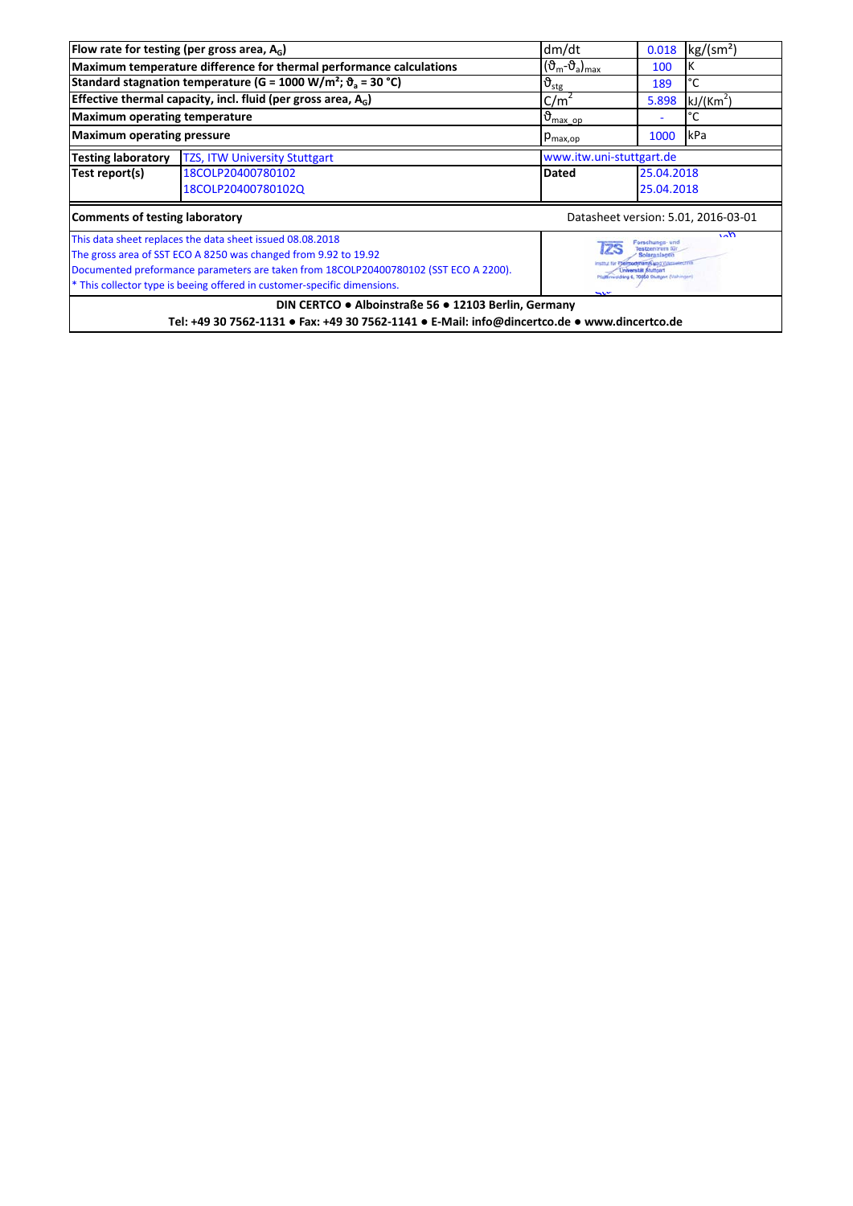|                                                                                 | Flow rate for testing (per gross area, $A_G$ )                                                 | dm/dt                                                          | 0.018      | kg/(sm <sup>2</sup> ) |  |  |  |
|---------------------------------------------------------------------------------|------------------------------------------------------------------------------------------------|----------------------------------------------------------------|------------|-----------------------|--|--|--|
|                                                                                 | Maximum temperature difference for thermal performance calculations                            | $(\vartheta_m - \vartheta_a)_{max}$                            | 100        |                       |  |  |  |
|                                                                                 | Standard stagnation temperature (G = 1000 W/m <sup>2</sup> ; $\vartheta$ <sub>a</sub> = 30 °C) | $\vartheta_{\text{stg}}$                                       | 189        | °C                    |  |  |  |
|                                                                                 | Effective thermal capacity, incl. fluid (per gross area, $A_G$ )                               | C/m <sup>2</sup>                                               | 5.898      | kJ/(Km <sup>2</sup> ) |  |  |  |
| <b>Maximum operating temperature</b>                                            |                                                                                                | $\vartheta_{\text{max op}}$                                    |            | °C                    |  |  |  |
| <b>Maximum operating pressure</b>                                               |                                                                                                | 1000<br>kPa<br>$p_{\text{max,op}}$                             |            |                       |  |  |  |
| <b>Testing laboratory</b>                                                       | <b>TZS, ITW University Stuttgart</b>                                                           | www.itw.uni-stuttgart.de                                       |            |                       |  |  |  |
| Test report(s)                                                                  | 18COLP20400780102                                                                              | Dated                                                          | 25.04.2018 |                       |  |  |  |
|                                                                                 | 18COLP20400780102Q<br>25.04.2018                                                               |                                                                |            |                       |  |  |  |
|                                                                                 | <b>Comments of testing laboratory</b><br>Datasheet version: 5.01, 2016-03-01                   |                                                                |            |                       |  |  |  |
|                                                                                 | This data sheet replaces the data sheet issued 08.08.2018                                      | $\sqrt{0}$<br>orschungs- und<br>Testzentrum für<br>Solaraniami |            |                       |  |  |  |
|                                                                                 | The gross area of SST ECO A 8250 was changed from 9.92 to 19.92                                |                                                                |            |                       |  |  |  |
|                                                                                 | Documented preformance parameters are taken from 18COLP20400780102 (SST ECO A 2200).           | Plattimwsidring 6, 70550 Stuttgert (Valhingeri)                |            |                       |  |  |  |
| * This collector type is beeing offered in customer-specific dimensions.<br>u v |                                                                                                |                                                                |            |                       |  |  |  |
| DIN CERTCO . Alboinstraße 56 . 12103 Berlin, Germany                            |                                                                                                |                                                                |            |                       |  |  |  |
|                                                                                 | Tel: +49 30 7562-1131 • Fax: +49 30 7562-1141 • E-Mail: info@dincertco.de • www.dincertco.de   |                                                                |            |                       |  |  |  |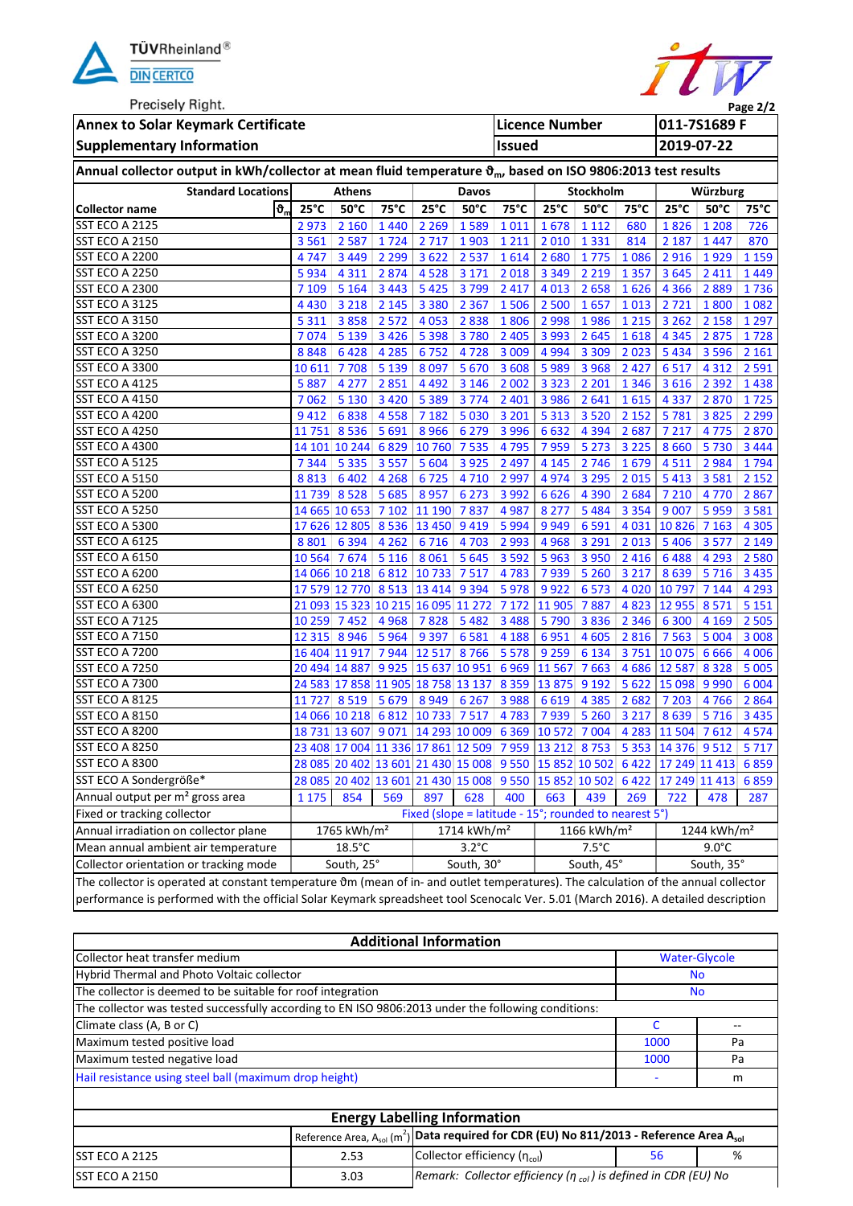

**Precisely Right** 



 $\overline{\phantom{a}}$ 

| <b>I</b> Techsely Tugul.<br>Page 2/2                                                                                                        |                                   |                         |         |                                                       |                         |                       |               |                                                              |              |                                                                                |                         |         |
|---------------------------------------------------------------------------------------------------------------------------------------------|-----------------------------------|-------------------------|---------|-------------------------------------------------------|-------------------------|-----------------------|---------------|--------------------------------------------------------------|--------------|--------------------------------------------------------------------------------|-------------------------|---------|
| <b>Annex to Solar Keymark Certificate</b>                                                                                                   |                                   |                         |         |                                                       |                         | <b>Licence Number</b> |               |                                                              | 011-7S1689 F |                                                                                |                         |         |
| <b>Supplementary Information</b>                                                                                                            |                                   |                         |         |                                                       |                         | <b>Issued</b>         |               |                                                              |              | 2019-07-22                                                                     |                         |         |
| Annual collector output in kWh/collector at mean fluid temperature $\vartheta_{m}$ , based on ISO 9806:2013 test results                    |                                   |                         |         |                                                       |                         |                       |               |                                                              |              |                                                                                |                         |         |
| <b>Standard Locations</b>                                                                                                                   |                                   | <b>Athens</b>           |         |                                                       | Davos                   |                       | Stockholm     |                                                              |              | Würzburg                                                                       |                         |         |
| <b>Collector name</b>                                                                                                                       | $\mathfrak{b}_n$<br>$25^{\circ}C$ | $50^{\circ}$ C          | 75°C    | $25^{\circ}C$                                         | $50^{\circ}$ C          | $75^{\circ}$ C        | $25^{\circ}C$ | $50^{\circ}$ C                                               | 75°C         | $25^{\circ}$ C                                                                 | $50^{\circ}$ C          | 75°C    |
| <b>SST ECO A 2125</b>                                                                                                                       | 2973                              | 2 1 6 0                 | 1440    | 2 2 6 9                                               | 1589                    | 1011                  | 1678          | 1 1 1 2                                                      | 680          | 1826                                                                           | 1 2 0 8                 | 726     |
| <b>SST ECO A 2150</b>                                                                                                                       | 3561                              | 2 5 8 7                 | 1724    | 2 7 1 7                                               | 1903                    | 1 2 1 1               | 2010          | 1 3 3 1                                                      | 814          | 2 1 8 7                                                                        | 1447                    | 870     |
| SST ECO A 2200                                                                                                                              | 4747                              | 3 4 4 9                 | 2 2 9 9 | 3622                                                  | 2 5 3 7                 | 1614                  | 2680          | 1775                                                         | 1086         | 2916                                                                           | 1929                    | 1 1 5 9 |
| <b>SST ECO A 2250</b>                                                                                                                       | 5934                              | 4 3 1 1                 | 2874    | 4528                                                  | 3 1 7 1                 | 2018                  | 3 3 4 9       | 2 2 1 9                                                      | 1357         | 3 6 4 5                                                                        | 2 4 1 1                 | 1449    |
| SST ECO A 2300                                                                                                                              | 7 109                             | 5 1 6 4                 | 3 4 4 3 | 5 4 2 5                                               | 3799                    | 2 4 1 7               | 4 0 13        | 2658                                                         | 1626         | 4 3 6 6                                                                        | 2889                    | 1736    |
| <b>SST ECO A 3125</b>                                                                                                                       | 4430                              | 3 2 1 8                 | 2 1 4 5 | 3 3 8 0                                               | 2 3 6 7                 | 1506                  | 2 5 0 0       | 1657                                                         | 1013         | 2721                                                                           | 1800                    | 1082    |
| <b>SST ECO A 3150</b>                                                                                                                       | 5 3 1 1                           | 3858                    | 2 5 7 2 | 4 0 5 3                                               | 2838                    | 1806                  | 2 9 9 8       | 1986                                                         | 1 2 1 5      | 3 2 6 2                                                                        | 2 1 5 8                 | 1 2 9 7 |
| SST ECO A 3200                                                                                                                              | 7074                              | 5 1 3 9                 | 3 4 2 6 | 5 3 9 8                                               | 3780                    | 2 4 0 5               | 3 9 9 3       | 2645                                                         | 1618         | 4 3 4 5                                                                        | 2875                    | 1728    |
| SST ECO A 3250                                                                                                                              | 8848                              | 6428                    | 4 2 8 5 | 6752                                                  | 4728                    | 3 0 0 9               | 4 9 9 4       | 3 3 0 9                                                      | 2023         | 5 4 3 4                                                                        | 3 5 9 6                 | 2 1 6 1 |
| SST ECO A 3300                                                                                                                              | 10 611                            | 7708                    | 5 1 3 9 | 8 0 9 7                                               | 5 6 7 0                 | 3 6 0 8               | 5989          | 3 9 6 8                                                      | 2 4 2 7      | 6517                                                                           | 4 3 1 2                 | 2 5 9 1 |
| SST ECO A 4125                                                                                                                              | 5887                              | 4 2 7 7                 | 2851    | 4 4 9 2                                               | 3 1 4 6                 | 2 0 0 2               | 3 3 2 3       | 2 2 0 1                                                      | 1 3 4 6      | 3 6 1 6                                                                        | 2 3 9 2                 | 1438    |
| <b>SST ECO A 4150</b>                                                                                                                       | 7062                              | 5 1 3 0                 | 3 4 2 0 | 5 3 8 9                                               | 3 7 7 4                 | 2 4 0 1               | 3 9 8 6       | 2641                                                         | 1615         | 4 3 3 7                                                                        | 2870                    | 1725    |
| SST ECO A 4200                                                                                                                              | 9412                              | 6838                    | 4558    | 7 1 8 2                                               | 5 0 3 0                 | 3 2 0 1               | 5 3 1 3       | 3 5 2 0                                                      | 2 1 5 2      | 5781                                                                           | 3825                    | 2 2 9 9 |
| <b>SST ECO A 4250</b>                                                                                                                       | 11 751                            | 8536                    | 5 6 9 1 | 8966                                                  | 6 2 7 9                 | 3 9 9 6               | 6632          | 4 3 9 4                                                      | 2687         | 7 2 1 7                                                                        | 4775                    | 2870    |
| SST ECO A 4300                                                                                                                              | 14 101 10 244 6 829               |                         |         | 10 760 7 535                                          |                         | 4795                  | 7959          | 5 2 7 3                                                      | 3 2 2 5      | 8660                                                                           | 5730                    | 3 4 4 4 |
| SST ECO A 5125                                                                                                                              | 7344                              | 5 3 3 5                 | 3 5 5 7 | 5 6 0 4                                               | 3 9 2 5                 | 2 4 9 7               | 4 1 4 5       | 2 7 4 6                                                      | 1679         | 4511                                                                           | 2 9 8 4                 | 1794    |
| SST ECO A 5150                                                                                                                              | 8813                              | 6 4 0 2                 | 4 2 6 8 | 6725                                                  | 4710 2997               |                       | 4974          | 3 2 9 5                                                      | 2015         | 5413                                                                           | 3 5 8 1                 | 2 1 5 2 |
| SST ECO A 5200                                                                                                                              | 11 739 8 528                      |                         | 5 6 8 5 | 8957                                                  | 6 2 7 3                 | 3 9 9 2               | 6626          | 4 3 9 0                                                      | 2684         | 7 2 10                                                                         | 4 7 7 0                 | 2867    |
| <b>SST ECO A 5250</b>                                                                                                                       | 14 665 10 653 7 102               |                         |         | 11 190 7 837                                          |                         | 4987                  | 8 2 7 7       | 5 4 8 4                                                      | 3 3 5 4      | 9 0 0 7                                                                        | 5959                    | 3581    |
| SST ECO A 5300                                                                                                                              |                                   |                         |         | 17 626 12 805 8 536 13 450 9 419                      |                         | 5 9 9 4               | 9949          | 6 5 9 1                                                      | 4031         | 10826                                                                          | 7 1 6 3                 | 4 3 0 5 |
| SST ECO A 6125                                                                                                                              | 8801                              | 6 3 9 4                 | 4 2 6 2 | 6716                                                  | 4703                    | 2 9 9 3               | 4 9 6 8       | 3 2 9 1                                                      | 2013         | 5 4 0 6                                                                        | 3577                    | 2 1 4 9 |
| SST ECO A 6150                                                                                                                              | 10 564 7 674 5 116                |                         |         | 8 0 6 1                                               | 5 6 4 5                 | 3 5 9 2               | 5963          | 3 9 5 0                                                      | 2416         | 6488                                                                           | 4 2 9 3                 | 2580    |
| SST ECO A 6200                                                                                                                              | 14 066 10 218 6 812               |                         |         | 10733                                                 | 7517                    | 4783                  | 7939          | 5 2 6 0                                                      | 3 2 1 7      | 8639                                                                           | 5716                    | 3 4 3 5 |
| SST ECO A 6250                                                                                                                              |                                   |                         |         | 17 579 12 770 8 513 13 414 9 394                      |                         | 5978                  | 9922          | 6573                                                         | 4020         | 10797                                                                          | 7 1 4 4                 | 4 2 9 3 |
| SST ECO A 6300                                                                                                                              |                                   |                         |         | 21 093 15 323 10 215 16 095 11 272                    |                         | 7 1 7 2               | 11 905        | 7887                                                         | 4823         | 12 955                                                                         | 8571                    | 5 1 5 1 |
| <b>SST ECO A 7125</b>                                                                                                                       | 10 259 7 452                      |                         | 4968    |                                                       | 7828 5482               | 3 4 8 8               | 5790          | 3836                                                         | 2 3 4 6      | 6 3 0 0                                                                        | 4 1 6 9                 | 2 5 0 5 |
| <b>SST ECO A 7150</b>                                                                                                                       | 12 315 8 946                      |                         | 5964    | 9 3 9 7                                               | 6581                    | 4 1 8 8               | 6951          | 4 6 0 5                                                      | 2816         | 7 5 6 3                                                                        | 5 0 0 4                 | 3 0 0 8 |
| SST ECO A 7200                                                                                                                              |                                   |                         |         | 16 404 11 917 7 944 12 517 8 766                      |                         | 5578                  | 9 2 5 9       | 6 1 3 4                                                      | 3751         | 10075                                                                          | 6 6 6 6                 | 4 0 0 6 |
| <b>SST ECO A 7250</b>                                                                                                                       |                                   |                         |         | 20 494 14 887 9 925 15 637 10 951 6 969 11 567        |                         |                       |               | 7663                                                         | 4686         | 12587                                                                          | 8 3 2 8                 | 5 0 0 5 |
| <b>SST ECO A 7300</b>                                                                                                                       |                                   |                         |         | 24 583 17 858 11 905 18 758 13 137 8 359 13 875 9 192 |                         |                       |               |                                                              |              | 5 622 15 098 9 990                                                             |                         | 6 0 0 4 |
| <b>SST ECO A 8125</b>                                                                                                                       | 11 727 8 519 5 679                |                         |         | 89496267                                              |                         | 3988                  | 6 6 1 9       | 4 3 8 5                                                      | 2682         | 7 2 0 3                                                                        | 4766                    | 2864    |
| <b>SST ECO A 8150</b>                                                                                                                       |                                   |                         |         | 14 066 10 218 6 812 10 733 7 517                      |                         | 4783                  | 7939          | 5 2 6 0                                                      | 3 2 1 7      | 8639                                                                           | 5716                    | 3 4 3 5 |
| SST ECO A 8200                                                                                                                              |                                   |                         |         |                                                       |                         |                       |               |                                                              |              | 18 731 13 607 9 071 14 293 10 009 6 369 10 572 7 004 4 283 11 504 7 612        |                         | 4 5 7 4 |
| SST ECO A 8250                                                                                                                              |                                   |                         |         |                                                       |                         |                       |               |                                                              |              | 23 408 17 004 11 336 17 861 12 509 7 959 13 212 8 753 5 353 14 376 9 512 5 717 |                         |         |
| SST ECO A 8300                                                                                                                              |                                   |                         |         |                                                       |                         |                       |               | 28 085 20 402 13 601 21 430 15 008 9 550 15 852 10 502 6 422 |              | 17 249 11 413 6 859                                                            |                         |         |
| SST ECO A Sondergröße*                                                                                                                      |                                   |                         |         |                                                       |                         |                       |               | 28 085 20 402 13 601 21 430 15 008 9 550 15 852 10 502 6 422 |              | 17 249 11 413 6 859                                                            |                         |         |
| Annual output per m <sup>2</sup> gross area                                                                                                 | 1 1 7 5                           | 854                     | 569     | 897                                                   | 628                     | 400                   | 663           | 439                                                          | 269          | 722                                                                            | 478                     | 287     |
| Fixed or tracking collector                                                                                                                 |                                   |                         |         |                                                       |                         |                       |               | Fixed (slope = latitude - 15°; rounded to nearest 5°)        |              |                                                                                |                         |         |
| Annual irradiation on collector plane                                                                                                       |                                   | 1765 kWh/m <sup>2</sup> |         |                                                       | 1714 kWh/m <sup>2</sup> |                       |               | 1166 kWh/m <sup>2</sup>                                      |              |                                                                                | 1244 kWh/m <sup>2</sup> |         |
| Mean annual ambient air temperature                                                                                                         |                                   | $18.5^{\circ}$ C        |         |                                                       | $3.2^{\circ}$ C         |                       |               | $7.5^{\circ}$ C                                              |              |                                                                                | $9.0^{\circ}$ C         |         |
| Collector orientation or tracking mode                                                                                                      |                                   | South, 25°              |         |                                                       | South, 30°              |                       |               | South, 45°                                                   |              |                                                                                | South, 35°              |         |
| The collector is operated at constant temperature $\theta$ m (mean of in- and outlet temperatures). The calculation of the annual collector |                                   |                         |         |                                                       |                         |                       |               |                                                              |              |                                                                                |                         |         |
| performance is performed with the official Solar Keymark spreadsheet tool Scenocalc Ver. 5.01 (March 2016). A detailed description          |                                   |                         |         |                                                       |                         |                       |               |                                                              |              |                                                                                |                         |         |

| <b>Additional Information</b>                                                                           |           |                                                                         |   |    |  |  |  |
|---------------------------------------------------------------------------------------------------------|-----------|-------------------------------------------------------------------------|---|----|--|--|--|
| Collector heat transfer medium<br><b>Water-Glycole</b>                                                  |           |                                                                         |   |    |  |  |  |
| Hybrid Thermal and Photo Voltaic collector                                                              | <b>No</b> |                                                                         |   |    |  |  |  |
| The collector is deemed to be suitable for roof integration<br>No.                                      |           |                                                                         |   |    |  |  |  |
| The collector was tested successfully according to EN ISO 9806:2013 under the following conditions:     |           |                                                                         |   |    |  |  |  |
| Climate class (A, B or C)<br>C                                                                          |           |                                                                         |   | -- |  |  |  |
| Maximum tested positive load<br>1000                                                                    |           |                                                                         |   | Pa |  |  |  |
| Maximum tested negative load<br>1000                                                                    |           |                                                                         |   |    |  |  |  |
| Hail resistance using steel ball (maximum drop height)                                                  |           |                                                                         |   | m  |  |  |  |
|                                                                                                         |           |                                                                         |   |    |  |  |  |
|                                                                                                         |           | <b>Energy Labelling Information</b>                                     |   |    |  |  |  |
| Reference Area, $A_{sol}(m^2)$ Data required for CDR (EU) No 811/2013 - Reference Area A <sub>sol</sub> |           |                                                                         |   |    |  |  |  |
| <b>SST ECO A 2125</b>                                                                                   | 2.53      | Collector efficiency (ncol)                                             | % |    |  |  |  |
| <b>SST ECO A 2150</b>                                                                                   | 3.03      | Remark: Collector efficiency ( $\eta_{col}$ ) is defined in CDR (EU) No |   |    |  |  |  |

/